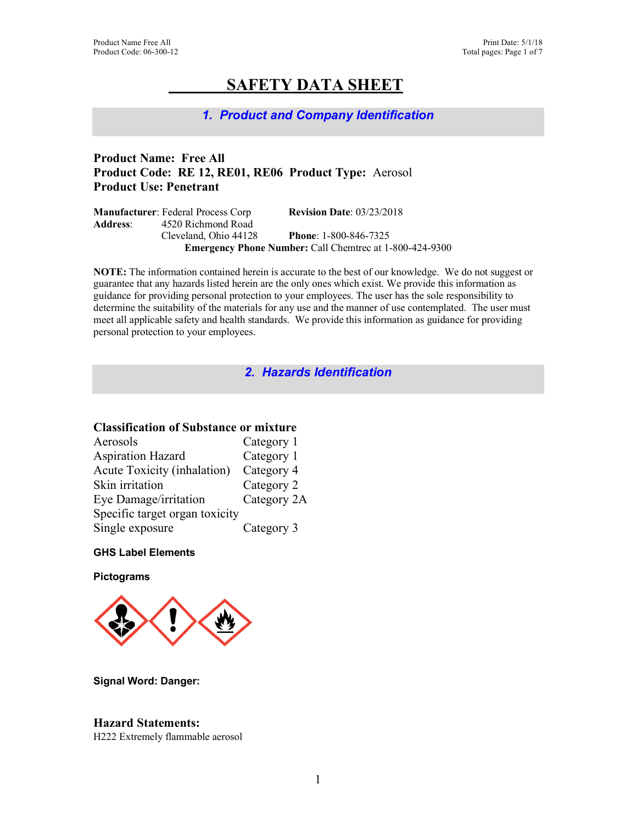# **SAFETY DATA SHEET**

# *1. Product and Company Identification*

# **Product Name: Free All Product Code: RE 12, RE01, RE06 Product Type:** Aerosol **Product Use: Penetrant**

|                  | <b>Manufacturer:</b> Federal Process Corp | <b>Revision Date: 03/23/2018</b>                               |
|------------------|-------------------------------------------|----------------------------------------------------------------|
| <b>Address</b> : | 4520 Richmond Road                        |                                                                |
|                  | Cleveland, Ohio 44128                     | <b>Phone:</b> $1-800-846-7325$                                 |
|                  |                                           | <b>Emergency Phone Number: Call Chemtrec at 1-800-424-9300</b> |

**NOTE:** The information contained herein is accurate to the best of our knowledge. We do not suggest or guarantee that any hazards listed herein are the only ones which exist. We provide this information as guidance for providing personal protection to your employees. The user has the sole responsibility to determine the suitability of the materials for any use and the manner of use contemplated. The user must meet all applicable safety and health standards. We provide this information as guidance for providing personal protection to your employees.

*2. Hazards Identification* 

# **Classification of Substance or mixture**

| Aerosols                       | Category 1  |
|--------------------------------|-------------|
| <b>Aspiration Hazard</b>       | Category 1  |
| Acute Toxicity (inhalation)    | Category 4  |
| Skin irritation                | Category 2  |
| Eye Damage/irritation          | Category 2A |
| Specific target organ toxicity |             |
| Single exposure                | Category 3  |

# **GHS Label Elements**

**Pictograms**



**Signal Word: Danger:**

# **Hazard Statements:**

H222 Extremely flammable aerosol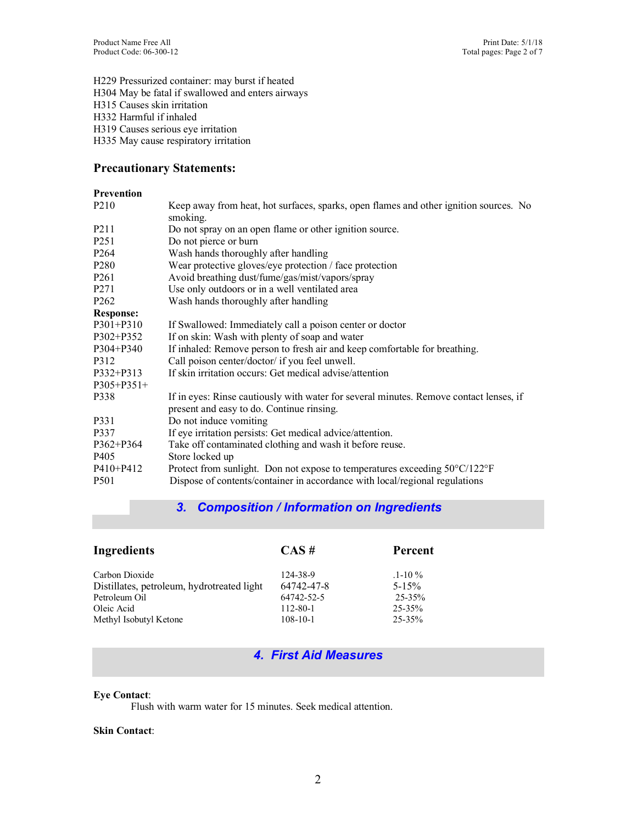H229 Pressurized container: may burst if heated H304 May be fatal if swallowed and enters airways H315 Causes skin irritation H332 Harmful if inhaled H319 Causes serious eye irritation H335 May cause respiratory irritation

# **Precautionary Statements:**

## **Prevention**

| P <sub>2</sub> 10 | Keep away from heat, hot surfaces, sparks, open flames and other ignition sources. No<br>smoking. |
|-------------------|---------------------------------------------------------------------------------------------------|
| P <sub>2</sub> 11 | Do not spray on an open flame or other ignition source.                                           |
| P <sub>251</sub>  | Do not pierce or burn                                                                             |
| P <sub>264</sub>  | Wash hands thoroughly after handling                                                              |
| P <sub>280</sub>  | Wear protective gloves/eye protection / face protection                                           |
| P <sub>261</sub>  | Avoid breathing dust/fume/gas/mist/vapors/spray                                                   |
| P <sub>271</sub>  | Use only outdoors or in a well ventilated area                                                    |
| P <sub>262</sub>  | Wash hands thoroughly after handling                                                              |
| <b>Response:</b>  |                                                                                                   |
| $P301 + P310$     | If Swallowed: Immediately call a poison center or doctor                                          |
| $P302 + P352$     | If on skin: Wash with plenty of soap and water                                                    |
| $P304 + P340$     | If inhaled: Remove person to fresh air and keep comfortable for breathing.                        |
| P312              | Call poison center/doctor/ if you feel unwell.                                                    |
| $P332 + P313$     | If skin irritation occurs: Get medical advise/attention                                           |
| $P305 + P351 +$   |                                                                                                   |
| P338              | If in eyes: Rinse cautiously with water for several minutes. Remove contact lenses, if            |
| P331              | present and easy to do. Continue rinsing.<br>Do not induce vomiting                               |
|                   |                                                                                                   |
| P337              | If eye irritation persists: Get medical advice/attention.                                         |
| $P362 + P364$     | Take off contaminated clothing and wash it before reuse.                                          |
| P <sub>405</sub>  | Store locked up                                                                                   |
| $P410 + P412$     | Protect from sunlight. Don not expose to temperatures exceeding $50^{\circ}$ C/122 <sup>o</sup> F |
| P <sub>501</sub>  | Dispose of contents/container in accordance with local/regional regulations                       |

# *3. Composition / Information on Ingredients*

| Ingredients                                | $CAS \#$       | Percent      |
|--------------------------------------------|----------------|--------------|
| Carbon Dioxide                             | 124-38-9       | $.1 - 10 \%$ |
| Distillates, petroleum, hydrotreated light | 64742-47-8     | $5 - 15\%$   |
| Petroleum Oil                              | 64742-52-5     | $25 - 35%$   |
| Oleic Acid                                 | 112-80-1       | $25 - 35\%$  |
| Methyl Isobutyl Ketone                     | $108 - 10 - 1$ | $25 - 35\%$  |

# *4. First Aid Measures*

## **Eye Contact**:

Flush with warm water for 15 minutes. Seek medical attention.

### **Skin Contact**: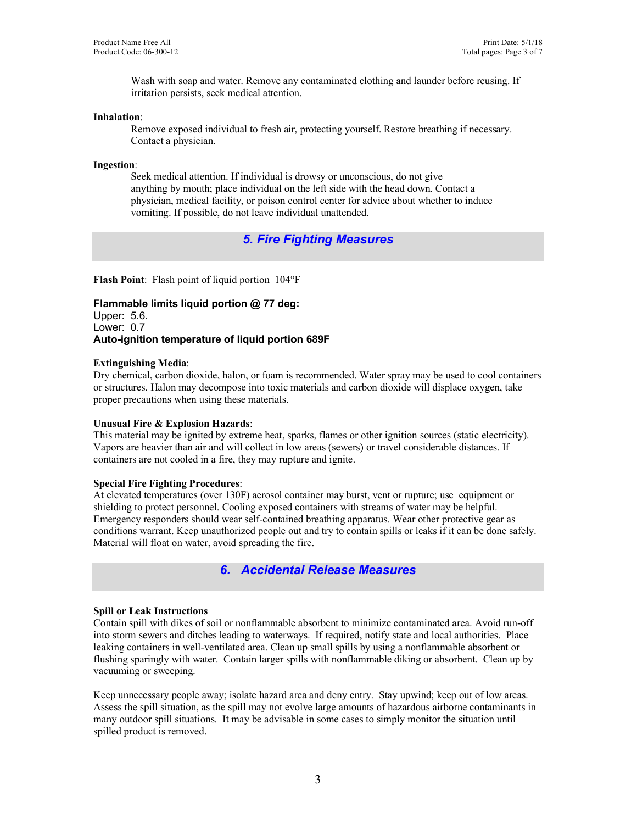Wash with soap and water. Remove any contaminated clothing and launder before reusing. If irritation persists, seek medical attention.

### **Inhalation**:

Remove exposed individual to fresh air, protecting yourself. Restore breathing if necessary. Contact a physician.

## **Ingestion**:

Seek medical attention. If individual is drowsy or unconscious, do not give anything by mouth; place individual on the left side with the head down. Contact a physician, medical facility, or poison control center for advice about whether to induce vomiting. If possible, do not leave individual unattended.

# *5. Fire Fighting Measures*

**Flash Point**: Flash point of liquid portion 104°F

**Flammable limits liquid portion @ 77 deg:** Upper: 5.6. Lower: 0.7 **Auto-ignition temperature of liquid portion 689F**

## **Extinguishing Media**:

Dry chemical, carbon dioxide, halon, or foam is recommended. Water spray may be used to cool containers or structures. Halon may decompose into toxic materials and carbon dioxide will displace oxygen, take proper precautions when using these materials.

## **Unusual Fire & Explosion Hazards**:

This material may be ignited by extreme heat, sparks, flames or other ignition sources (static electricity). Vapors are heavier than air and will collect in low areas (sewers) or travel considerable distances. If containers are not cooled in a fire, they may rupture and ignite.

### **Special Fire Fighting Procedures**:

At elevated temperatures (over 130F) aerosol container may burst, vent or rupture; use equipment or shielding to protect personnel. Cooling exposed containers with streams of water may be helpful. Emergency responders should wear self-contained breathing apparatus. Wear other protective gear as conditions warrant. Keep unauthorized people out and try to contain spills or leaks if it can be done safely. Material will float on water, avoid spreading the fire.

# *6. Accidental Release Measures*

### **Spill or Leak Instructions**

Contain spill with dikes of soil or nonflammable absorbent to minimize contaminated area. Avoid run-off into storm sewers and ditches leading to waterways. If required, notify state and local authorities. Place leaking containers in well-ventilated area. Clean up small spills by using a nonflammable absorbent or flushing sparingly with water. Contain larger spills with nonflammable diking or absorbent. Clean up by vacuuming or sweeping.

Keep unnecessary people away; isolate hazard area and deny entry. Stay upwind; keep out of low areas. Assess the spill situation, as the spill may not evolve large amounts of hazardous airborne contaminants in many outdoor spill situations. It may be advisable in some cases to simply monitor the situation until spilled product is removed.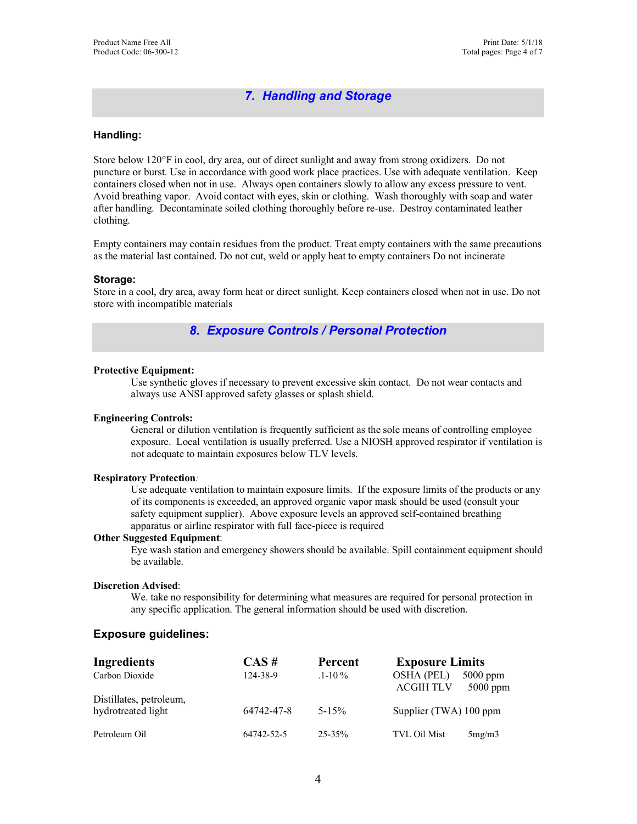# *7. Handling and Storage*

## **Handling:**

Store below 120°F in cool, dry area, out of direct sunlight and away from strong oxidizers. Do not puncture or burst. Use in accordance with good work place practices. Use with adequate ventilation. Keep containers closed when not in use. Always open containers slowly to allow any excess pressure to vent. Avoid breathing vapor. Avoid contact with eyes, skin or clothing. Wash thoroughly with soap and water after handling. Decontaminate soiled clothing thoroughly before re-use. Destroy contaminated leather clothing.

Empty containers may contain residues from the product. Treat empty containers with the same precautions as the material last contained. Do not cut, weld or apply heat to empty containers Do not incinerate

#### **Storage:**

Store in a cool, dry area, away form heat or direct sunlight. Keep containers closed when not in use. Do not store with incompatible materials

## *8. Exposure Controls / Personal Protection*

#### **Protective Equipment:**

Use synthetic gloves if necessary to prevent excessive skin contact. Do not wear contacts and always use ANSI approved safety glasses or splash shield.

## **Engineering Controls:**

General or dilution ventilation is frequently sufficient as the sole means of controlling employee exposure. Local ventilation is usually preferred. Use a NIOSH approved respirator if ventilation is not adequate to maintain exposures below TLV levels.

#### **Respiratory Protection***:*

Use adequate ventilation to maintain exposure limits. If the exposure limits of the products or any of its components is exceeded, an approved organic vapor mask should be used (consult your safety equipment supplier). Above exposure levels an approved self-contained breathing apparatus or airline respirator with full face-piece is required

## **Other Suggested Equipment**:

Eye wash station and emergency showers should be available. Spill containment equipment should be available.

#### **Discretion Advised**:

We. take no responsibility for determining what measures are required for personal protection in any specific application. The general information should be used with discretion.

### **Exposure guidelines:**

| Ingredients                                   | $CAS \#$   | Percent     | <b>Exposure Limits</b>                |                          |
|-----------------------------------------------|------------|-------------|---------------------------------------|--------------------------|
| Carbon Dioxide                                | 124-38-9   | $1 - 10 \%$ | <b>OSHA (PEL)</b><br><b>ACGIH TLV</b> | $5000$ ppm<br>$5000$ ppm |
| Distillates, petroleum,<br>hydrotreated light | 64742-47-8 | $5 - 15\%$  | Supplier (TWA) 100 ppm                |                          |
| Petroleum Oil                                 | 64742-52-5 | $25 - 35\%$ | <b>TVL Oil Mist</b>                   | 5mg/m3                   |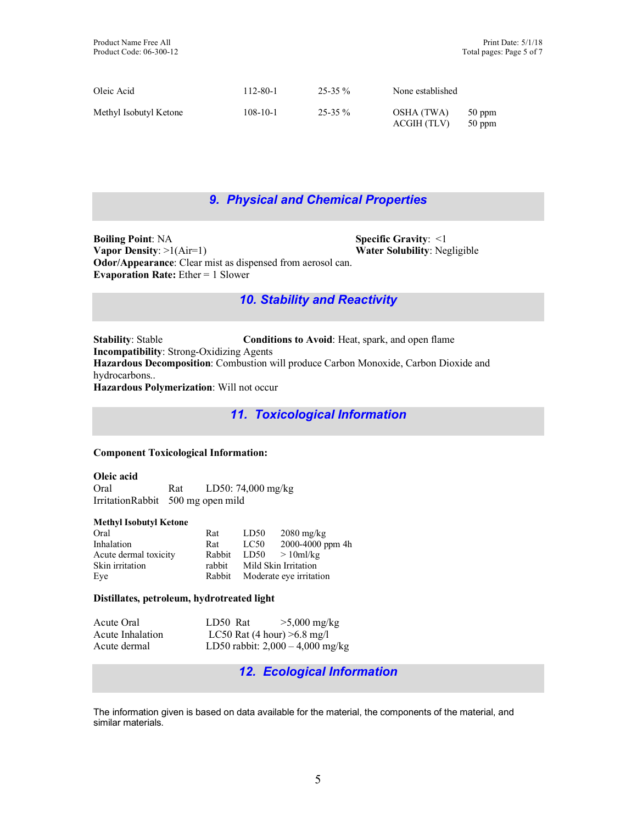| Oleic Acid             | 112-80-1       | $25 - 35 \%$ | None established          |                    |
|------------------------|----------------|--------------|---------------------------|--------------------|
| Methyl Isobutyl Ketone | $108 - 10 - 1$ | $25 - 35 \%$ | OSHA (TWA)<br>ACGIH (TLV) | 50 ppm<br>$50$ ppm |

# *9. Physical and Chemical Properties*

**Boiling Point: NA Specific Gravity: <1 Vapor Density**: >1(Air=1) **Water Solubility**: Negligible **Odor/Appearance**: Clear mist as dispensed from aerosol can. **Evaporation Rate:** Ether = 1 Slower

# *10. Stability and Reactivity*

**Stability**: Stable **Conditions to Avoid**: Heat, spark, and open flame **Incompatibility**: Strong-Oxidizing Agents **Hazardous Decomposition**: Combustion will produce Carbon Monoxide, Carbon Dioxide and hydrocarbons.. **Hazardous Polymerization**: Will not occur

*11. Toxicological Information* 

## **Component Toxicological Information:**

| Oleic acid |                                   |                    |
|------------|-----------------------------------|--------------------|
| Oral       | Rat                               | LD50: 74,000 mg/kg |
|            | IrritationRabbit 500 mg open mild |                    |

## **Methyl Isobutyl Ketone**

| Oral                  | Rat    | LD50                    | $2080 \text{ mg/kg}$ |
|-----------------------|--------|-------------------------|----------------------|
| Inhalation            | Rat    | LC50                    | 2000-4000 ppm 4h     |
| Acute dermal toxicity | Rabbit | LD50                    | $>10$ ml/kg          |
| Skin irritation       | rabbit |                         | Mild Skin Irritation |
| Eve                   | Rabbit | Moderate eye irritation |                      |

## **Distillates, petroleum, hydrotreated light**

| Acute Oral       | LD50 Rat | $>5,000$ mg/kg                     |
|------------------|----------|------------------------------------|
| Acute Inhalation |          | LC50 Rat $(4 hour) > 6.8 mg/l$     |
| Acute dermal     |          | LD50 rabbit: $2,000 - 4,000$ mg/kg |

*12. Ecological Information* 

The information given is based on data available for the material, the components of the material, and similar materials.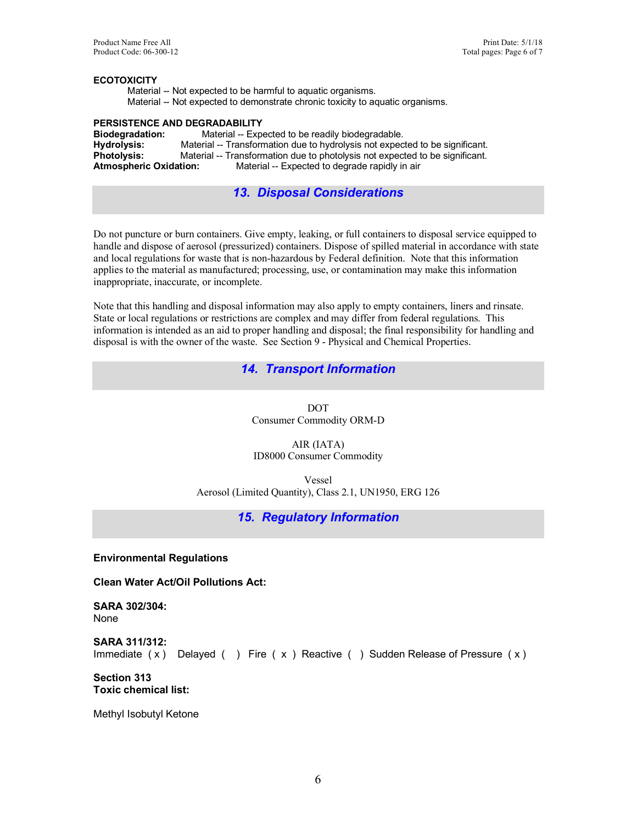## **ECOTOXICITY**

 Material -- Not expected to be harmful to aquatic organisms. Material -- Not expected to demonstrate chronic toxicity to aquatic organisms.

## **PERSISTENCE AND DEGRADABILITY**

**Biodegradation:** Material -- Expected to be readily biodegradable.<br> **Hydrolysis:** Material -- Transformation due to hydrolysis not expect Material -- Transformation due to hydrolysis not expected to be significant. **Photolysis:** Material -- Transformation due to photolysis not expected to be significant.<br>**Atmospheric Oxidation:** Material -- Expected to degrade rapidly in air Material -- Expected to degrade rapidly in air

# *13. Disposal Considerations*

Do not puncture or burn containers. Give empty, leaking, or full containers to disposal service equipped to handle and dispose of aerosol (pressurized) containers. Dispose of spilled material in accordance with state and local regulations for waste that is non-hazardous by Federal definition. Note that this information applies to the material as manufactured; processing, use, or contamination may make this information inappropriate, inaccurate, or incomplete.

Note that this handling and disposal information may also apply to empty containers, liners and rinsate. State or local regulations or restrictions are complex and may differ from federal regulations. This information is intended as an aid to proper handling and disposal; the final responsibility for handling and disposal is with the owner of the waste. See Section 9 - Physical and Chemical Properties.

# *14. Transport Information*

DOT Consumer Commodity ORM-D

AIR (IATA) ID8000 Consumer Commodity

Vessel Aerosol (Limited Quantity), Class 2.1, UN1950, ERG 126

# *15. Regulatory Information*

**Environmental Regulations**

**Clean Water Act/Oil Pollutions Act:**

**SARA 302/304:** None

**SARA 311/312:** Immediate  $(x)$  Delayed ( ) Fire  $(x)$  Reactive ( ) Sudden Release of Pressure  $(x)$ 

**Section 313 Toxic chemical list:**

Methyl Isobutyl Ketone